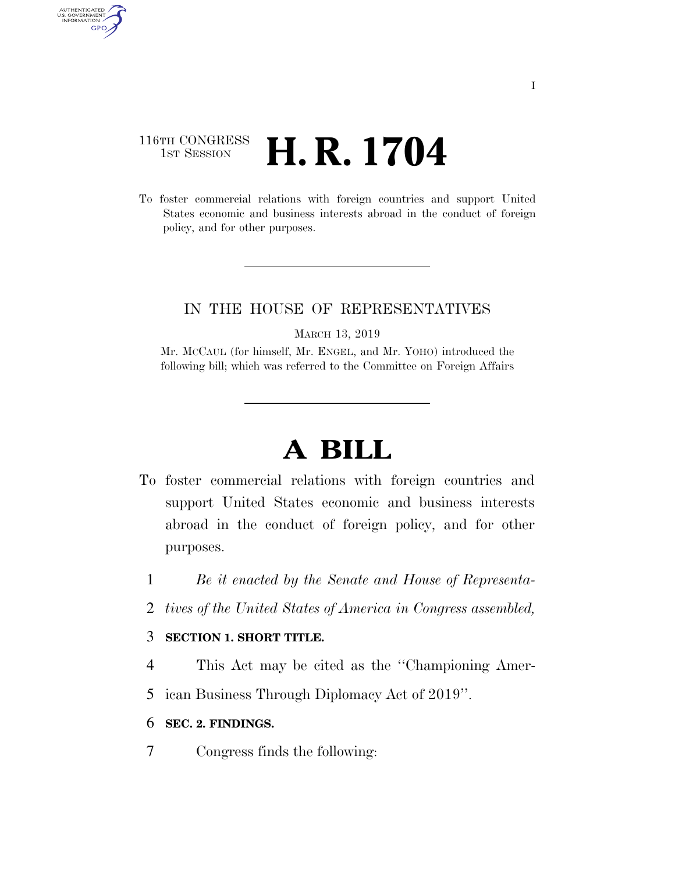#### 116TH CONGRESS **1st Session H. R. 1704**

AUTHENTICATED<br>U.S. GOVERNMENT<br>INFORMATION GPO

> To foster commercial relations with foreign countries and support United States economic and business interests abroad in the conduct of foreign policy, and for other purposes.

#### IN THE HOUSE OF REPRESENTATIVES

MARCH 13, 2019

Mr. MCCAUL (for himself, Mr. ENGEL, and Mr. YOHO) introduced the following bill; which was referred to the Committee on Foreign Affairs

# **A BILL**

- To foster commercial relations with foreign countries and support United States economic and business interests abroad in the conduct of foreign policy, and for other purposes.
	- 1 *Be it enacted by the Senate and House of Representa-*
	- 2 *tives of the United States of America in Congress assembled,*

#### 3 **SECTION 1. SHORT TITLE.**

- 4 This Act may be cited as the ''Championing Amer-
- 5 ican Business Through Diplomacy Act of 2019''.
- 6 **SEC. 2. FINDINGS.**
- 7 Congress finds the following: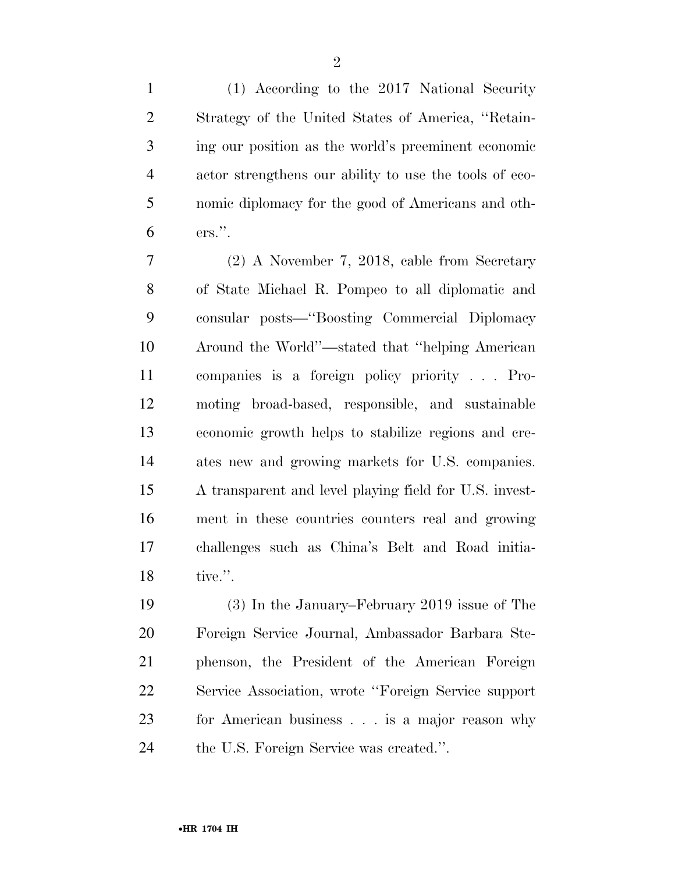(1) According to the 2017 National Security Strategy of the United States of America, ''Retain- ing our position as the world's preeminent economic actor strengthens our ability to use the tools of eco- nomic diplomacy for the good of Americans and oth-ers.''.

 (2) A November 7, 2018, cable from Secretary of State Michael R. Pompeo to all diplomatic and consular posts—''Boosting Commercial Diplomacy Around the World''—stated that ''helping American companies is a foreign policy priority . . . Pro- moting broad-based, responsible, and sustainable economic growth helps to stabilize regions and cre- ates new and growing markets for U.S. companies. A transparent and level playing field for U.S. invest- ment in these countries counters real and growing challenges such as China's Belt and Road initia-tive.''.

 (3) In the January–February 2019 issue of The Foreign Service Journal, Ambassador Barbara Ste- phenson, the President of the American Foreign Service Association, wrote ''Foreign Service support for American business . . . is a major reason why the U.S. Foreign Service was created.''.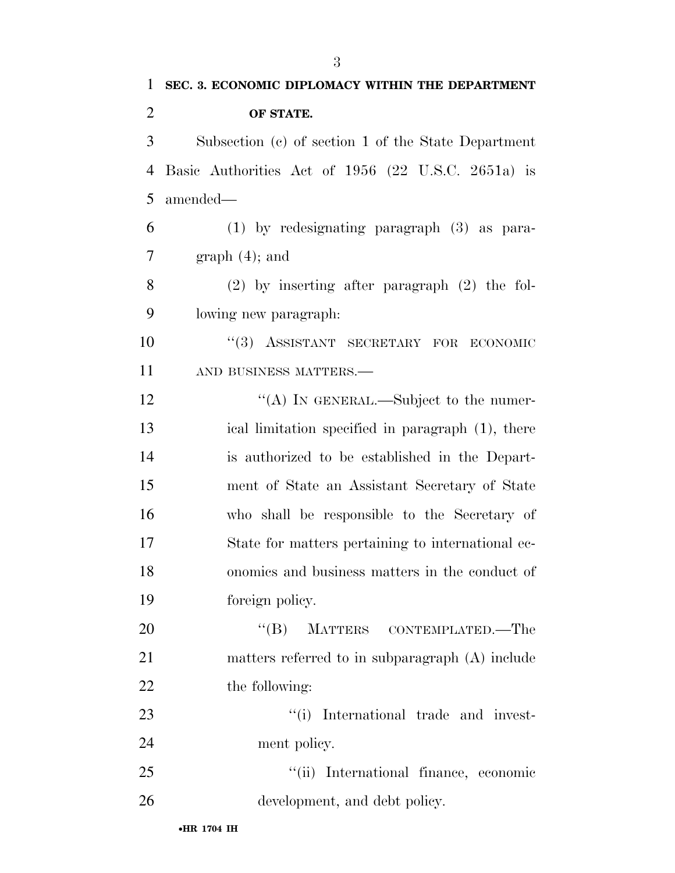| 1              | SEC. 3. ECONOMIC DIPLOMACY WITHIN THE DEPARTMENT    |
|----------------|-----------------------------------------------------|
| $\overline{2}$ | OF STATE.                                           |
| 3              | Subsection (c) of section 1 of the State Department |
| $\overline{4}$ | Basic Authorities Act of 1956 (22 U.S.C. 2651a) is  |
| 5              | amended—                                            |
| 6              | $(1)$ by redesignating paragraph $(3)$ as para-     |
| 7              | $graph(4)$ ; and                                    |
| 8              | $(2)$ by inserting after paragraph $(2)$ the fol-   |
| 9              | lowing new paragraph:                               |
| 10             | "(3) ASSISTANT SECRETARY FOR ECONOMIC               |
| 11             | AND BUSINESS MATTERS.-                              |
| 12             | "(A) IN GENERAL.—Subject to the numer-              |
| 13             | ical limitation specified in paragraph (1), there   |
| 14             | is authorized to be established in the Depart-      |
| 15             | ment of State an Assistant Secretary of State       |
| 16             | who shall be responsible to the Secretary of        |
| 17             | State for matters pertaining to international ec-   |
| 18             | onomics and business matters in the conduct of      |
| 19             | foreign policy.                                     |
| 20             | $\lq\lq (B)$<br>MATTERS CONTEMPLATED.—The           |
| 21             | matters referred to in subparagraph (A) include     |
| 22             | the following:                                      |
| 23             | "(i) International trade and invest-                |
| 24             | ment policy.                                        |
| 25             | ``(ii)<br>International finance, economic           |
| 26             | development, and debt policy.                       |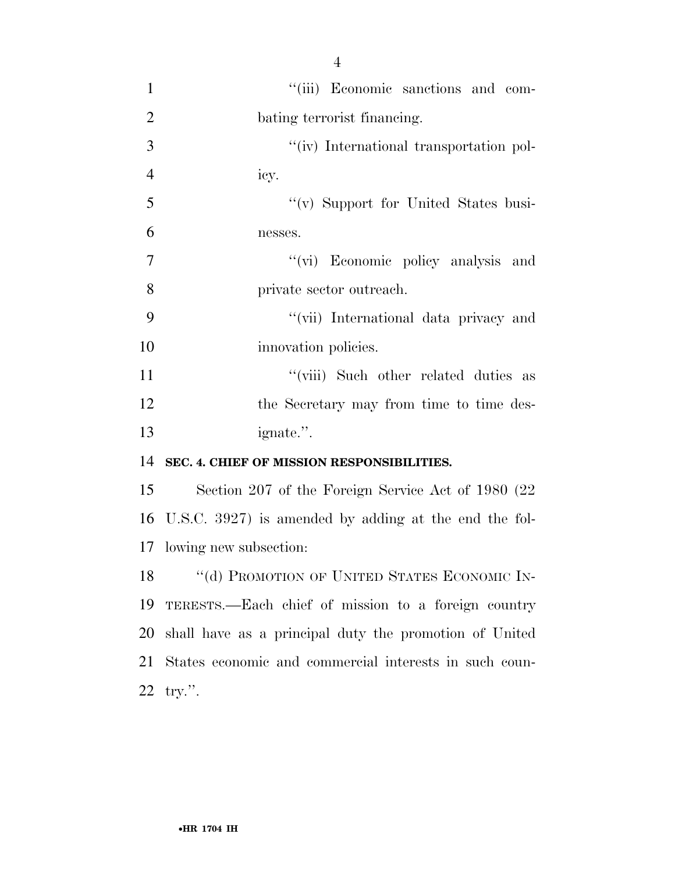| $\mathbf{1}$   | "(iii) Economic sanctions and com-            |
|----------------|-----------------------------------------------|
| $\overline{2}$ | bating terrorist financing.                   |
| 3              | "(iv) International transportation pol-       |
| $\overline{4}$ | icy.                                          |
| 5              | "(v) Support for United States busi-          |
| 6              | nesses.                                       |
| 7              | "(vi) Economic policy analysis and            |
| 8              | private sector outreach.                      |
| 9              | "(vii) International data privacy and         |
| 10             | innovation policies.                          |
| 11             | "(viii) Such other related duties as          |
| 12             | the Secretary may from time to time des-      |
| 13             | ignate.".                                     |
|                | 14 SEC. 4. CHIEF OF MISSION RESPONSIBILITIES. |

 Section 207 of the Foreign Service Act of 1980 (22 U.S.C. 3927) is amended by adding at the end the fol-lowing new subsection:

18 "(d) PROMOTION OF UNITED STATES ECONOMIC IN- TERESTS.—Each chief of mission to a foreign country shall have as a principal duty the promotion of United States economic and commercial interests in such coun-try.''.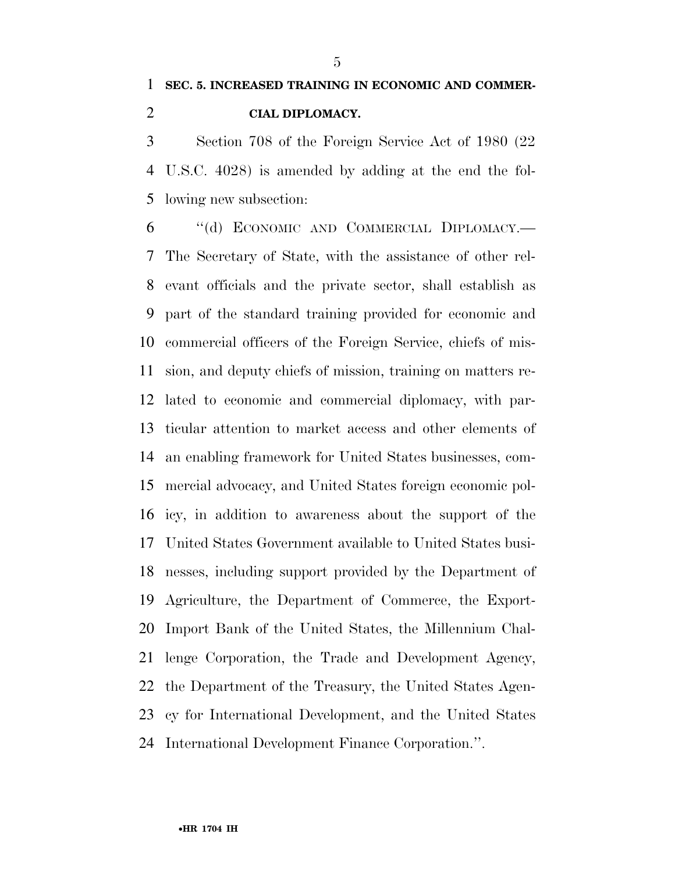### **SEC. 5. INCREASED TRAINING IN ECONOMIC AND COMMER-CIAL DIPLOMACY.**

 Section 708 of the Foreign Service Act of 1980 (22 U.S.C. 4028) is amended by adding at the end the fol-lowing new subsection:

 ''(d) ECONOMIC AND COMMERCIAL DIPLOMACY.— The Secretary of State, with the assistance of other rel- evant officials and the private sector, shall establish as part of the standard training provided for economic and commercial officers of the Foreign Service, chiefs of mis- sion, and deputy chiefs of mission, training on matters re- lated to economic and commercial diplomacy, with par- ticular attention to market access and other elements of an enabling framework for United States businesses, com- mercial advocacy, and United States foreign economic pol- icy, in addition to awareness about the support of the United States Government available to United States busi- nesses, including support provided by the Department of Agriculture, the Department of Commerce, the Export- Import Bank of the United States, the Millennium Chal- lenge Corporation, the Trade and Development Agency, the Department of the Treasury, the United States Agen- cy for International Development, and the United States International Development Finance Corporation.''.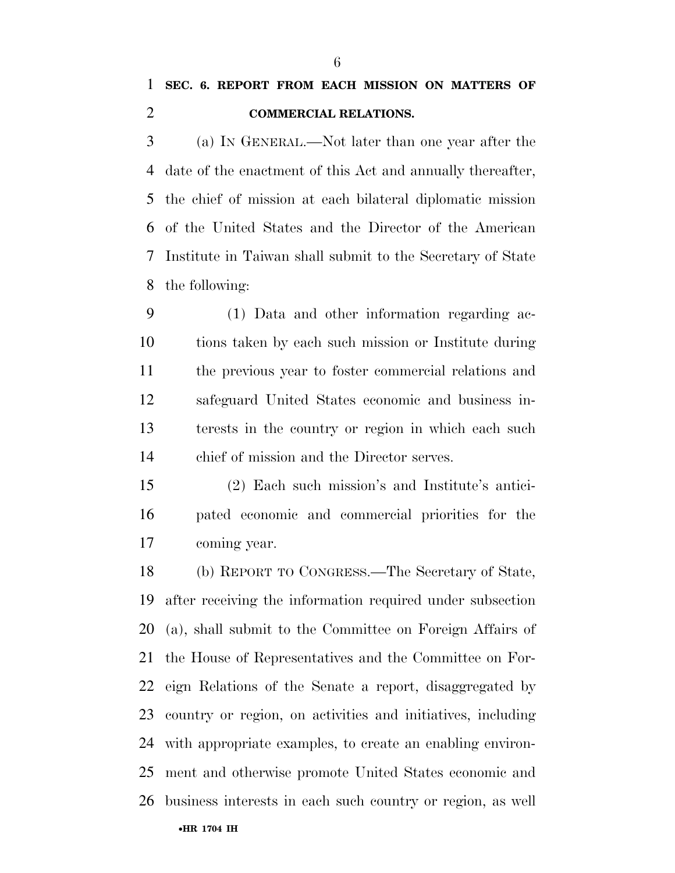### **SEC. 6. REPORT FROM EACH MISSION ON MATTERS OF COMMERCIAL RELATIONS.**

 (a) IN GENERAL.—Not later than one year after the date of the enactment of this Act and annually thereafter, the chief of mission at each bilateral diplomatic mission of the United States and the Director of the American Institute in Taiwan shall submit to the Secretary of State the following:

 (1) Data and other information regarding ac- tions taken by each such mission or Institute during the previous year to foster commercial relations and safeguard United States economic and business in- terests in the country or region in which each such chief of mission and the Director serves.

 (2) Each such mission's and Institute's antici- pated economic and commercial priorities for the coming year.

 (b) REPORT TO CONGRESS.—The Secretary of State, after receiving the information required under subsection (a), shall submit to the Committee on Foreign Affairs of the House of Representatives and the Committee on For- eign Relations of the Senate a report, disaggregated by country or region, on activities and initiatives, including with appropriate examples, to create an enabling environ- ment and otherwise promote United States economic and business interests in each such country or region, as well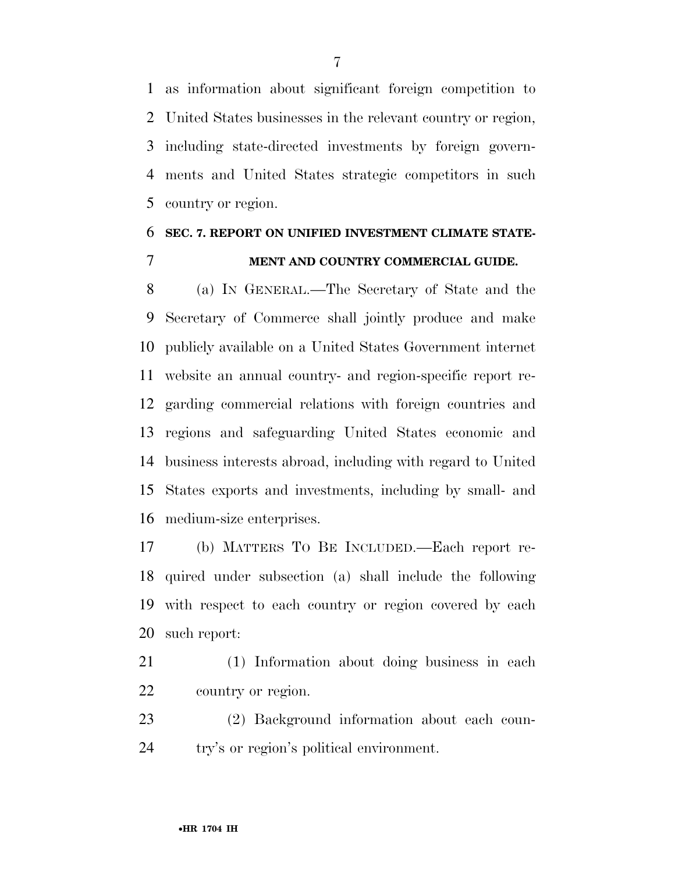as information about significant foreign competition to United States businesses in the relevant country or region, including state-directed investments by foreign govern- ments and United States strategic competitors in such country or region.

#### **SEC. 7. REPORT ON UNIFIED INVESTMENT CLIMATE STATE-MENT AND COUNTRY COMMERCIAL GUIDE.**

 (a) IN GENERAL.—The Secretary of State and the Secretary of Commerce shall jointly produce and make publicly available on a United States Government internet website an annual country- and region-specific report re- garding commercial relations with foreign countries and regions and safeguarding United States economic and business interests abroad, including with regard to United States exports and investments, including by small- and medium-size enterprises.

 (b) MATTERS TO BE INCLUDED.—Each report re- quired under subsection (a) shall include the following with respect to each country or region covered by each such report:

- (1) Information about doing business in each country or region.
- (2) Background information about each coun-try's or region's political environment.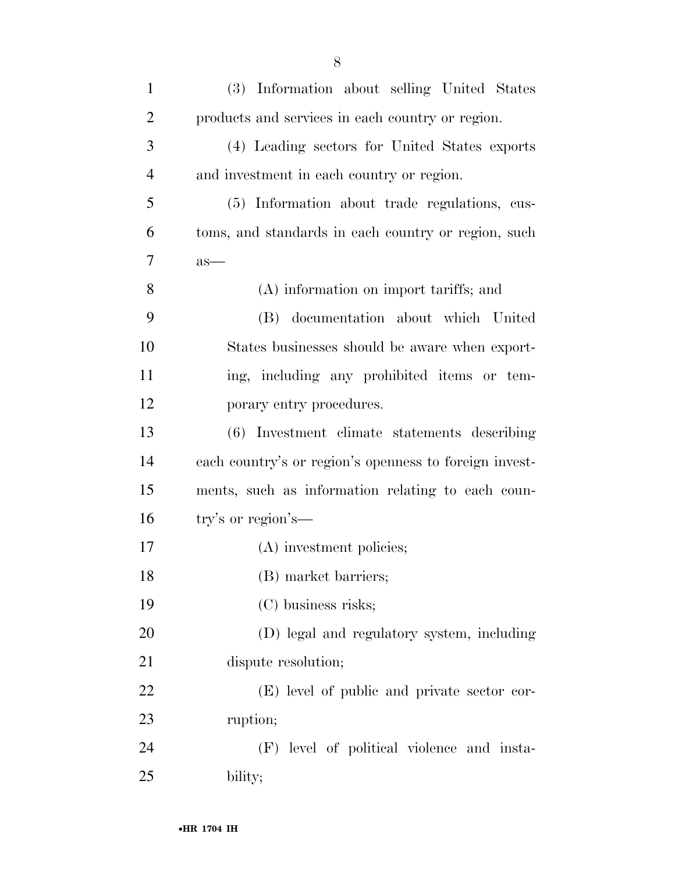| $\mathbf{1}$   | (3) Information about selling United States            |
|----------------|--------------------------------------------------------|
| $\overline{c}$ | products and services in each country or region.       |
| 3              | (4) Leading sectors for United States exports          |
| $\overline{4}$ | and investment in each country or region.              |
| 5              | (5) Information about trade regulations, cus-          |
| 6              | toms, and standards in each country or region, such    |
| 7              | $as-$                                                  |
| 8              | (A) information on import tariffs; and                 |
| 9              | (B) documentation about which United                   |
| 10             | States businesses should be aware when export-         |
| 11             | ing, including any prohibited items or tem-            |
| 12             | porary entry procedures.                               |
| 13             | (6) Investment climate statements describing           |
| 14             | each country's or region's openness to foreign invest- |
| 15             | ments, such as information relating to each coun-      |
| 16             | try's or region's-                                     |
| 17             | (A) investment policies;                               |
| 18             | (B) market barriers;                                   |
| 19             | (C) business risks;                                    |
| 20             | (D) legal and regulatory system, including             |
| 21             | dispute resolution;                                    |
| 22             | (E) level of public and private sector cor-            |
| 23             | ruption;                                               |
| 24             | (F) level of political violence and insta-             |
| 25             | bility;                                                |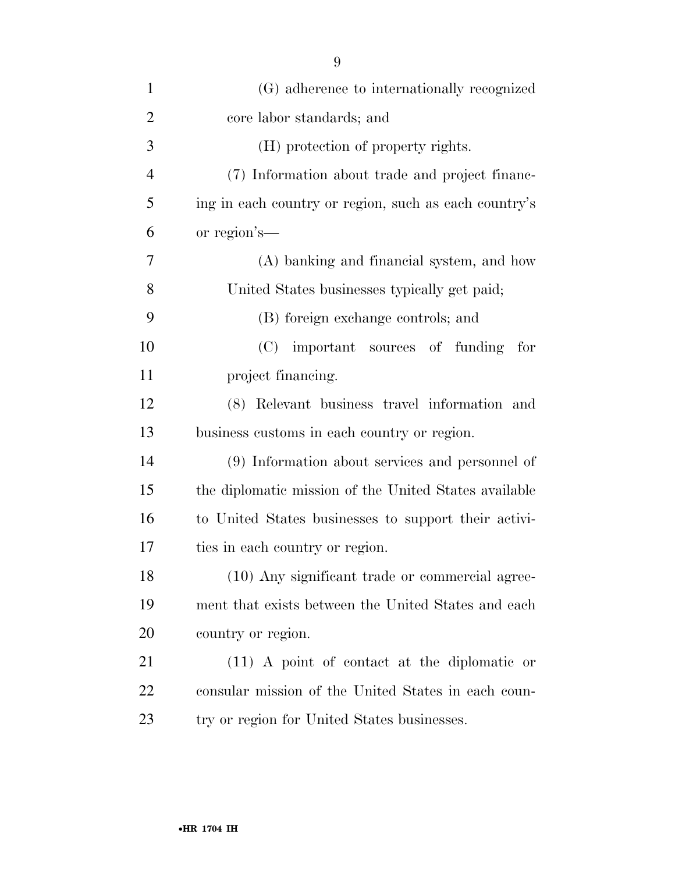| $\mathbf{1}$   | (G) adherence to internationally recognized           |
|----------------|-------------------------------------------------------|
| $\overline{2}$ | core labor standards; and                             |
| 3              | (H) protection of property rights.                    |
| $\overline{4}$ | (7) Information about trade and project financ-       |
| 5              | ing in each country or region, such as each country's |
| 6              | or region's—                                          |
| 7              | (A) banking and financial system, and how             |
| 8              | United States businesses typically get paid;          |
| 9              | (B) foreign exchange controls; and                    |
| 10             | (C) important sources of funding<br>for               |
| 11             | project financing.                                    |
| 12             | (8) Relevant business travel information and          |
| 13             | business customs in each country or region.           |
| 14             | (9) Information about services and personnel of       |
| 15             | the diplomatic mission of the United States available |
| 16             | to United States businesses to support their activi-  |
| 17             | ties in each country or region.                       |
| 18             | (10) Any significant trade or commercial agree-       |
| 19             | ment that exists between the United States and each   |
| 20             | country or region.                                    |
| 21             | $(11)$ A point of contact at the diplomatic or        |
| 22             | consular mission of the United States in each coun-   |
| 23             | try or region for United States businesses.           |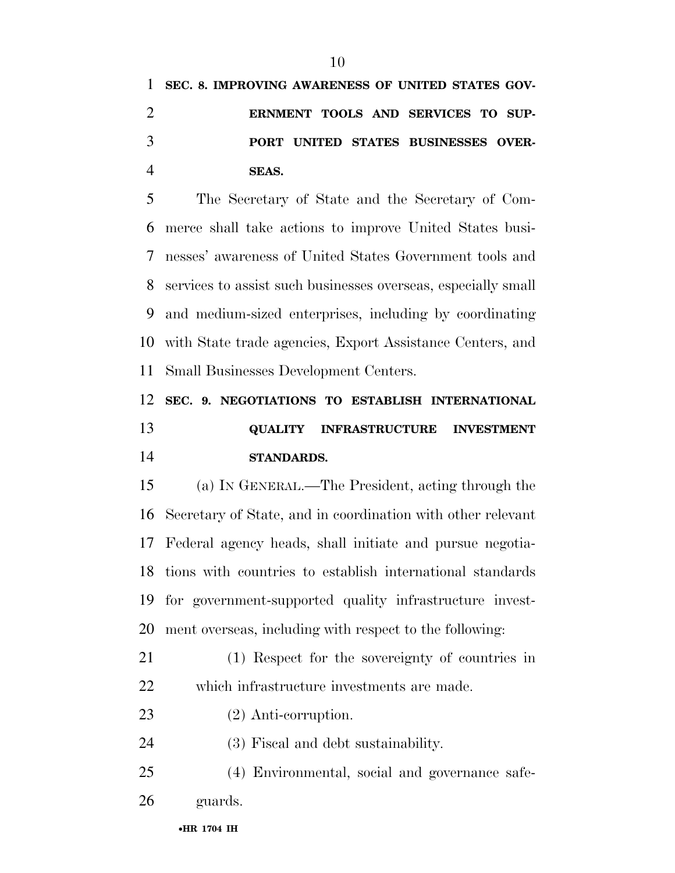# **SEC. 8. IMPROVING AWARENESS OF UNITED STATES GOV- ERNMENT TOOLS AND SERVICES TO SUP- PORT UNITED STATES BUSINESSES OVER-SEAS.**

 The Secretary of State and the Secretary of Com- merce shall take actions to improve United States busi- nesses' awareness of United States Government tools and services to assist such businesses overseas, especially small and medium-sized enterprises, including by coordinating with State trade agencies, Export Assistance Centers, and Small Businesses Development Centers.

## **SEC. 9. NEGOTIATIONS TO ESTABLISH INTERNATIONAL QUALITY INFRASTRUCTURE INVESTMENT STANDARDS.**

 (a) IN GENERAL.—The President, acting through the Secretary of State, and in coordination with other relevant Federal agency heads, shall initiate and pursue negotia- tions with countries to establish international standards for government-supported quality infrastructure invest-ment overseas, including with respect to the following:

- (1) Respect for the sovereignty of countries in which infrastructure investments are made.
- (2) Anti-corruption.
- (3) Fiscal and debt sustainability.
- (4) Environmental, social and governance safe-guards.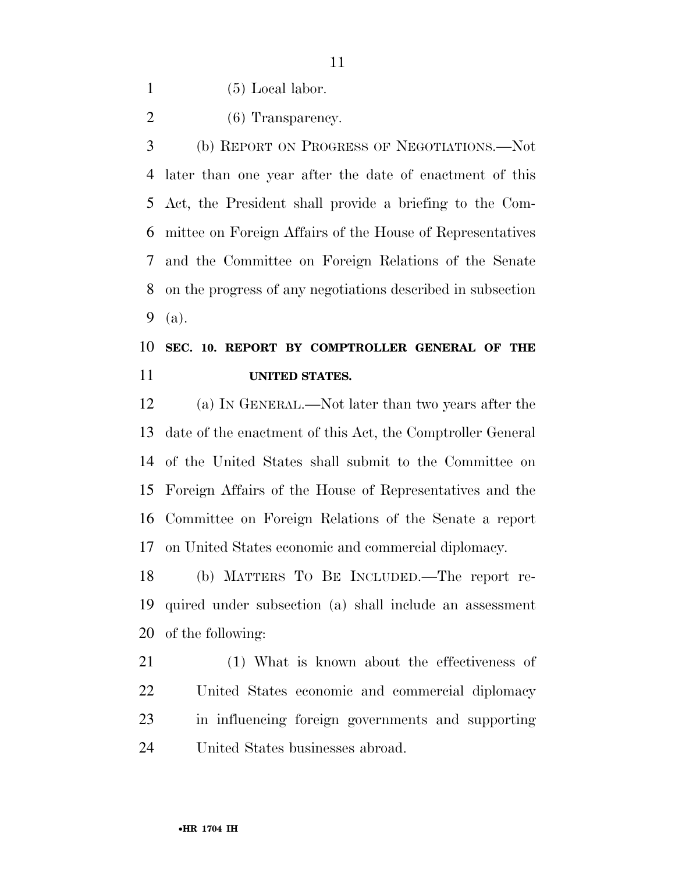(5) Local labor.

2 (6) Transparency.

 (b) REPORT ON PROGRESS OF NEGOTIATIONS.—Not later than one year after the date of enactment of this Act, the President shall provide a briefing to the Com- mittee on Foreign Affairs of the House of Representatives and the Committee on Foreign Relations of the Senate on the progress of any negotiations described in subsection (a).

#### **SEC. 10. REPORT BY COMPTROLLER GENERAL OF THE UNITED STATES.**

 (a) IN GENERAL.—Not later than two years after the date of the enactment of this Act, the Comptroller General of the United States shall submit to the Committee on Foreign Affairs of the House of Representatives and the Committee on Foreign Relations of the Senate a report on United States economic and commercial diplomacy.

 (b) MATTERS TO BE INCLUDED.—The report re- quired under subsection (a) shall include an assessment of the following:

 (1) What is known about the effectiveness of United States economic and commercial diplomacy in influencing foreign governments and supporting United States businesses abroad.